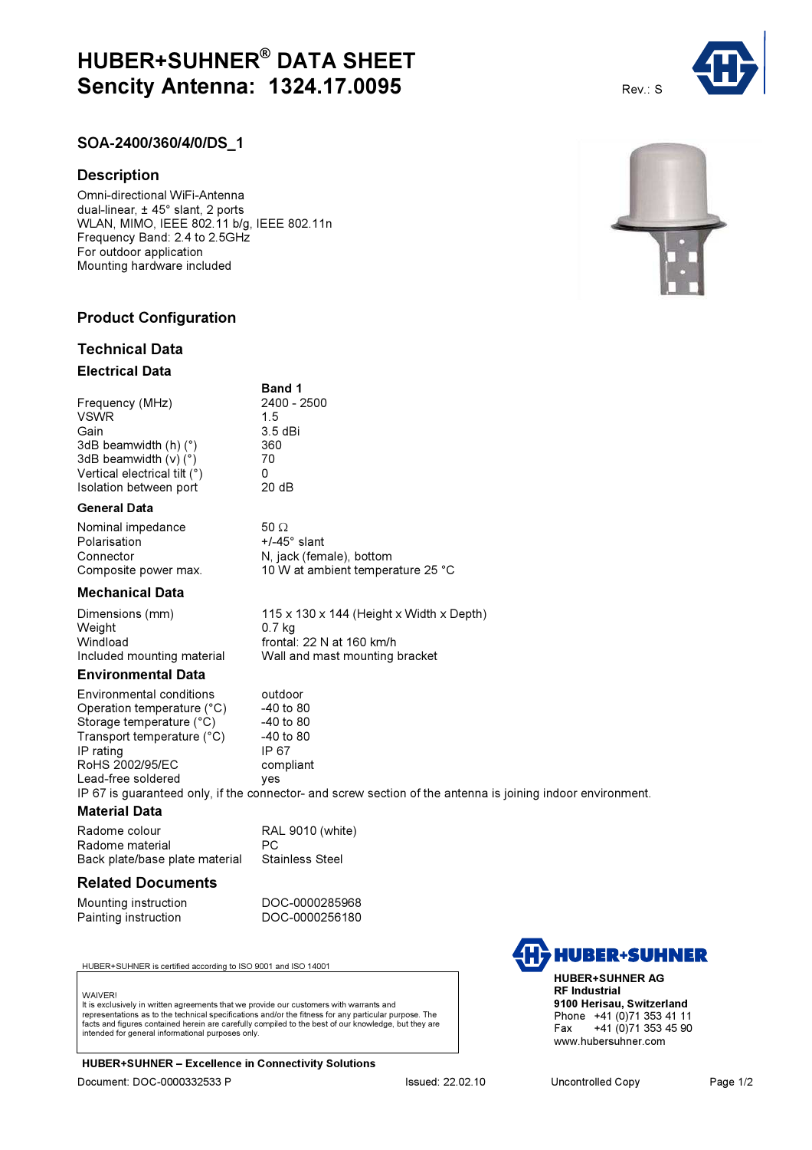# HUBER+SUHNER® DATA SHEET **Sencity Antenna: 1324.17.0095** Rev.: S

Band 1

3.5 dBi<br> 360

### SOA-2400/360/4/0/DS\_1

#### **Description**

Omni-directional WiFi-Antenna dual-linear, ± 45° slant, 2 ports WLAN, MIMO, IEEE 802.11 b/g, IEEE 802.11n Frequency Band: 2.4 to 2.5GHz For outdoor application Mounting hardware included

### Product Configuration

#### Technical Data

#### Electrical Data

Frequency (MHz) 2400 - 2500 VSWR 1.5<br>Gain 3.5 3dB beamwidth  $(h)$  ( $°$ ) 3dB beamwidth  $(v)(°)$  70 Vertical electrical tilt (°) 0<br>Isolation between port 0 20 dB Isolation between port

#### General Data

Nominal impedance 50 Ω<br>Polarisation +/-45° slant Polarisation Connector N, jack (female), bottom Composite power max. 10 W at ambient temperature 25 °C

#### Mechanical Data

Weight 0.7 kg<br>Windload frontal

Dimensions (mm) 115 x 130 x 144 (Height x Width x Depth) frontal: 22 N at 160 km/h Included mounting material Wall and mast mounting bracket

#### Environmental Data

Environmental conditions outdoor<br>Operation temperature (°C) -40 to 80 Operation temperature (°C)  $-40$  to 80<br>Storage temperature (°C)  $-40$  to 80 Storage temperature (°C)  $-40$  to 80<br>Transport temperature (°C)  $-40$  to 80 Transport temperature (°C) IP rating IP 67 RoHS 2002/95/EC compliant<br>Lead-free soldered ves Lead-free soldered

IP 67 is guaranteed only, if the connector- and screw section of the antenna is joining indoor environment.

#### Material Data

Radome colour RAL 9010 (white) Radome material entity PC<br>Back plate/base plate material Stainless Steel Back plate/base plate material

#### Related Documents

Mounting instruction<br>
Painting instruction<br>
DOC-0000256180 Painting instruction

HUBER+SUHNER is certified according to ISO 9001 and ISO 14001

#### **WAIVER!**

It is exclusively in written agreements that we provide our customers with warrants and representations as to the technical specifications and/or the fitness for any particular purpose. The facts and figures contained herein are carefully compiled to the best of our knowledge, but they are intended for general informational purposes only.

HUBER+SUHNER – Excellence in Connectivity Solutions Document: DOC-0000332533 P Issued: 22.02.10 Uncontrolled Copy Page 1/2

HUBER+SUHNER AG RF Industrial

www.hubersuhner.com

9100 Herisau, Switzerland Phone +41 (0)71 353 41 11<br>Fax +41 (0)71 353 45 90 +41 (0)71 353 45 90

**HUBER+SUHNER**